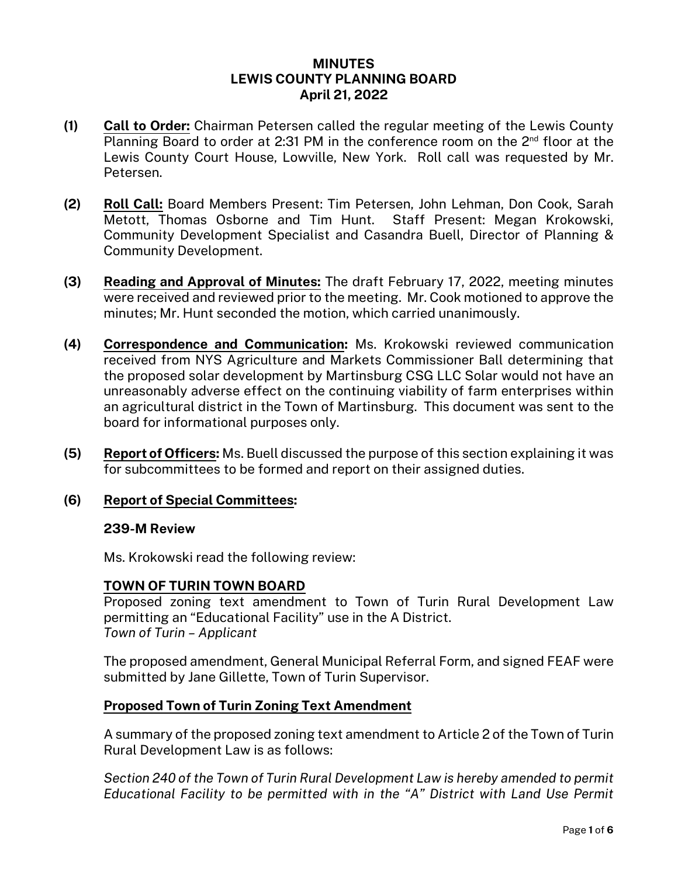### **MINUTES LEWIS COUNTY PLANNING BOARD April 21, 2022**

- **(1) Call to Order:** Chairman Petersen called the regular meeting of the Lewis County Planning Board to order at 2:31 PM in the conference room on the 2<sup>nd</sup> floor at the Lewis County Court House, Lowville, New York. Roll call was requested by Mr. Petersen.
- **(2) Roll Call:** Board Members Present: Tim Petersen, John Lehman, Don Cook, Sarah Metott, Thomas Osborne and Tim Hunt. Staff Present: Megan Krokowski, Community Development Specialist and Casandra Buell, Director of Planning & Community Development.
- **(3) Reading and Approval of Minutes:** The draft February 17, 2022, meeting minutes were received and reviewed prior to the meeting. Mr. Cook motioned to approve the minutes; Mr. Hunt seconded the motion, which carried unanimously.
- **(4) Correspondence and Communication:** Ms. Krokowski reviewed communication received from NYS Agriculture and Markets Commissioner Ball determining that the proposed solar development by Martinsburg CSG LLC Solar would not have an unreasonably adverse effect on the continuing viability of farm enterprises within an agricultural district in the Town of Martinsburg. This document was sent to the board for informational purposes only.
- **(5) Report of Officers:** Ms. Buell discussed the purpose of this section explaining it was for subcommittees to be formed and report on their assigned duties.

# **(6) Report of Special Committees:**

### **239-M Review**

Ms. Krokowski read the following review:

### **TOWN OF TURIN TOWN BOARD**

Proposed zoning text amendment to Town of Turin Rural Development Law permitting an "Educational Facility" use in the A District. *Town of Turin – Applicant*

The proposed amendment, General Municipal Referral Form, and signed FEAF were submitted by Jane Gillette, Town of Turin Supervisor.

### **Proposed Town of Turin Zoning Text Amendment**

A summary of the proposed zoning text amendment to Article 2 of the Town of Turin Rural Development Law is as follows:

*Section 240 of the Town of Turin Rural Development Law is hereby amended to permit Educational Facility to be permitted with in the "A" District with Land Use Permit*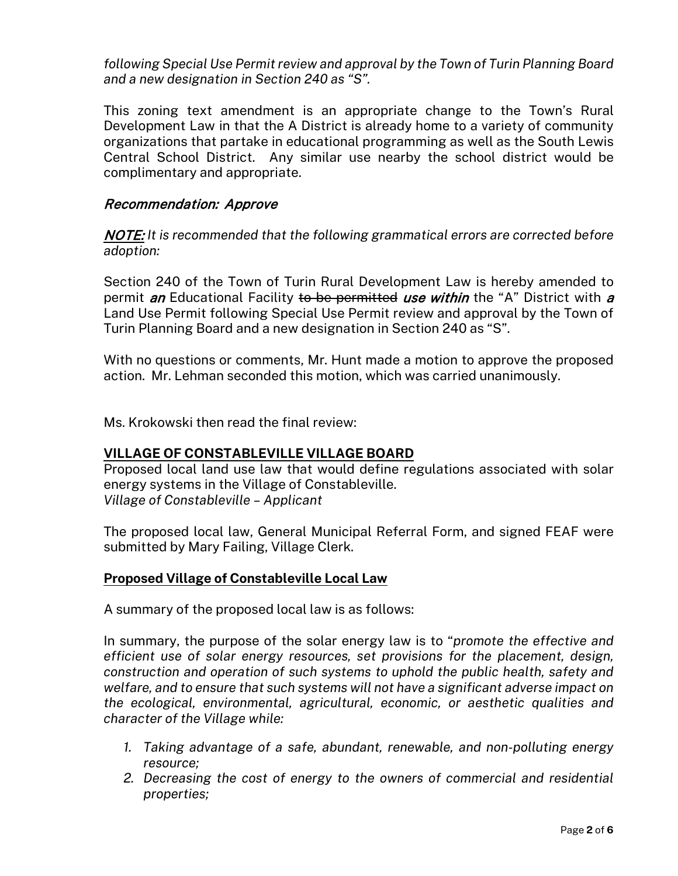*following Special Use Permit review and approval by the Town of Turin Planning Board and a new designation in Section 240 as "S".*

This zoning text amendment is an appropriate change to the Town's Rural Development Law in that the A District is already home to a variety of community organizations that partake in educational programming as well as the South Lewis Central School District. Any similar use nearby the school district would be complimentary and appropriate.

### Recommendation: Approve

NOTE: *It is recommended that the following grammatical errors are corrected before adoption:*

Section 240 of the Town of Turin Rural Development Law is hereby amended to permit *an* Educational Facility to be permitted use within the "A" District with a Land Use Permit following Special Use Permit review and approval by the Town of Turin Planning Board and a new designation in Section 240 as "S".

With no questions or comments, Mr. Hunt made a motion to approve the proposed action. Mr. Lehman seconded this motion, which was carried unanimously.

Ms. Krokowski then read the final review:

# **VILLAGE OF CONSTABLEVILLE VILLAGE BOARD**

Proposed local land use law that would define regulations associated with solar energy systems in the Village of Constableville. *Village of Constableville – Applicant*

The proposed local law, General Municipal Referral Form, and signed FEAF were submitted by Mary Failing, Village Clerk.

# **Proposed Village of Constableville Local Law**

A summary of the proposed local law is as follows:

In summary, the purpose of the solar energy law is to "*promote the effective and efficient use of solar energy resources, set provisions for the placement, design, construction and operation of such systems to uphold the public health, safety and welfare, and to ensure that such systems will not have a significant adverse impact on the ecological, environmental, agricultural, economic, or aesthetic qualities and character of the Village while:*

- *1. Taking advantage of a safe, abundant, renewable, and non-polluting energy resource;*
- *2. Decreasing the cost of energy to the owners of commercial and residential properties;*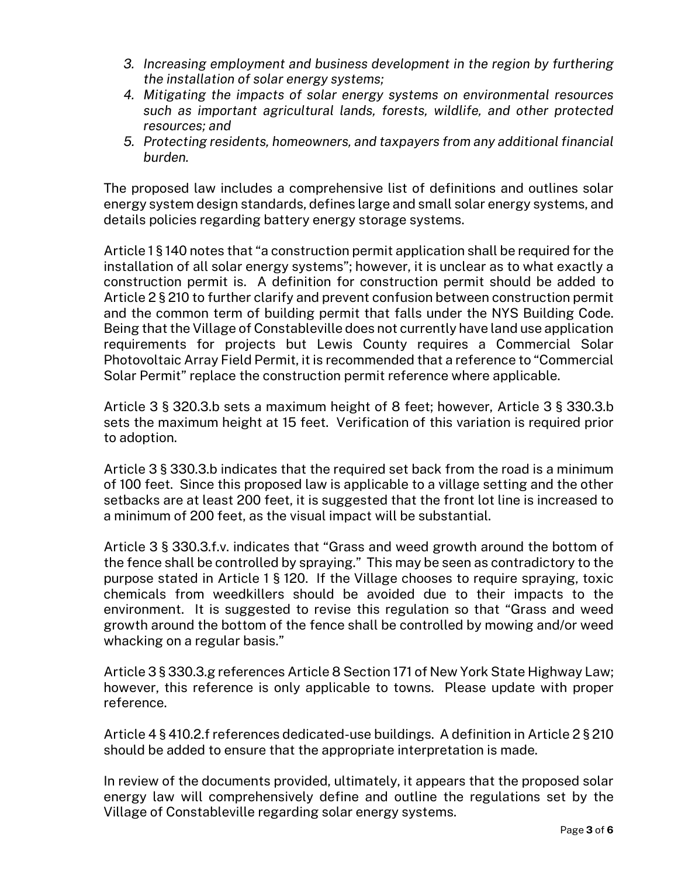- *3. Increasing employment and business development in the region by furthering the installation of solar energy systems;*
- *4. Mitigating the impacts of solar energy systems on environmental resources such as important agricultural lands, forests, wildlife, and other protected resources; and*
- *5. Protecting residents, homeowners, and taxpayers from any additional financial burden.*

The proposed law includes a comprehensive list of definitions and outlines solar energy system design standards, defines large and small solar energy systems, and details policies regarding battery energy storage systems.

Article 1 § 140 notes that "a construction permit application shall be required for the installation of all solar energy systems"; however, it is unclear as to what exactly a construction permit is. A definition for construction permit should be added to Article 2 § 210 to further clarify and prevent confusion between construction permit and the common term of building permit that falls under the NYS Building Code. Being that the Village of Constableville does not currently have land use application requirements for projects but Lewis County requires a Commercial Solar Photovoltaic Array Field Permit, it is recommended that a reference to "Commercial Solar Permit" replace the construction permit reference where applicable.

Article 3 § 320.3.b sets a maximum height of 8 feet; however, Article 3 § 330.3.b sets the maximum height at 15 feet. Verification of this variation is required prior to adoption.

Article 3 § 330.3.b indicates that the required set back from the road is a minimum of 100 feet. Since this proposed law is applicable to a village setting and the other setbacks are at least 200 feet, it is suggested that the front lot line is increased to a minimum of 200 feet, as the visual impact will be substantial.

Article 3 § 330.3.f.v. indicates that "Grass and weed growth around the bottom of the fence shall be controlled by spraying." This may be seen as contradictory to the purpose stated in Article 1 § 120. If the Village chooses to require spraying, toxic chemicals from weedkillers should be avoided due to their impacts to the environment. It is suggested to revise this regulation so that "Grass and weed growth around the bottom of the fence shall be controlled by mowing and/or weed whacking on a regular basis."

Article 3 § 330.3.g references Article 8 Section 171 of New York State Highway Law; however, this reference is only applicable to towns. Please update with proper reference.

Article 4 § 410.2.f references dedicated-use buildings. A definition in Article 2 § 210 should be added to ensure that the appropriate interpretation is made.

In review of the documents provided, ultimately, it appears that the proposed solar energy law will comprehensively define and outline the regulations set by the Village of Constableville regarding solar energy systems.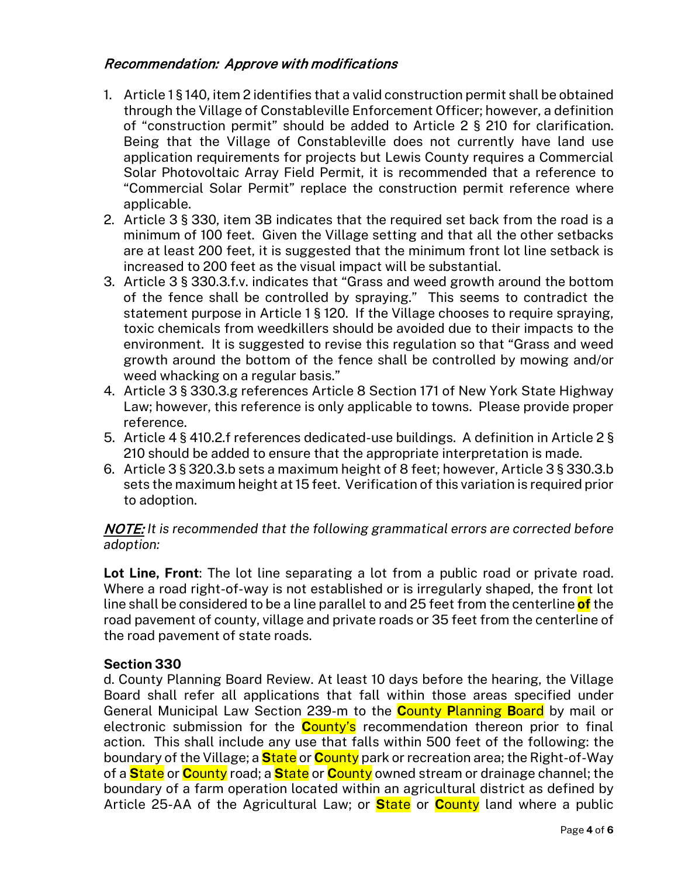# Recommendation: Approve with modifications

- 1. Article 1 § 140, item 2 identifies that a valid construction permit shall be obtained through the Village of Constableville Enforcement Officer; however, a definition of "construction permit" should be added to Article 2 § 210 for clarification. Being that the Village of Constableville does not currently have land use application requirements for projects but Lewis County requires a Commercial Solar Photovoltaic Array Field Permit, it is recommended that a reference to "Commercial Solar Permit" replace the construction permit reference where applicable.
- 2. Article 3 § 330, item 3B indicates that the required set back from the road is a minimum of 100 feet. Given the Village setting and that all the other setbacks are at least 200 feet, it is suggested that the minimum front lot line setback is increased to 200 feet as the visual impact will be substantial.
- 3. Article 3 § 330.3.f.v. indicates that "Grass and weed growth around the bottom of the fence shall be controlled by spraying." This seems to contradict the statement purpose in Article 1 § 120. If the Village chooses to require spraying, toxic chemicals from weedkillers should be avoided due to their impacts to the environment. It is suggested to revise this regulation so that "Grass and weed growth around the bottom of the fence shall be controlled by mowing and/or weed whacking on a regular basis."
- 4. Article 3 § 330.3.g references Article 8 Section 171 of New York State Highway Law; however, this reference is only applicable to towns. Please provide proper reference.
- 5. Article 4 § 410.2.f references dedicated-use buildings. A definition in Article 2 § 210 should be added to ensure that the appropriate interpretation is made.
- 6. Article 3 § 320.3.b sets a maximum height of 8 feet; however, Article 3 § 330.3.b sets the maximum height at 15 feet. Verification of this variation is required prior to adoption.

### NOTE: *It is recommended that the following grammatical errors are corrected before adoption:*

**Lot Line, Front**: The lot line separating a lot from a public road or private road. Where a road right-of-way is not established or is irregularly shaped, the front lot line shall be considered to be a line parallel to and 25 feet from the centerline **of** the road pavement of county, village and private roads or 35 feet from the centerline of the road pavement of state roads.

### **Section 330**

d. County Planning Board Review. At least 10 days before the hearing, the Village Board shall refer all applications that fall within those areas specified under General Municipal Law Section 239-m to the **C**ounty **P**lanning **B**oard by mail or electronic submission for the **C**ounty's recommendation thereon prior to final action. This shall include any use that falls within 500 feet of the following: the boundary of the Village; a **S**tate or **C**ounty park or recreation area; the Right-of-Way of a **S**tate or **C**ounty road; a **S**tate or **C**ounty owned stream or drainage channel; the boundary of a farm operation located within an agricultural district as defined by Article 25-AA of the Agricultural Law; or **S**tate or **C**ounty land where a public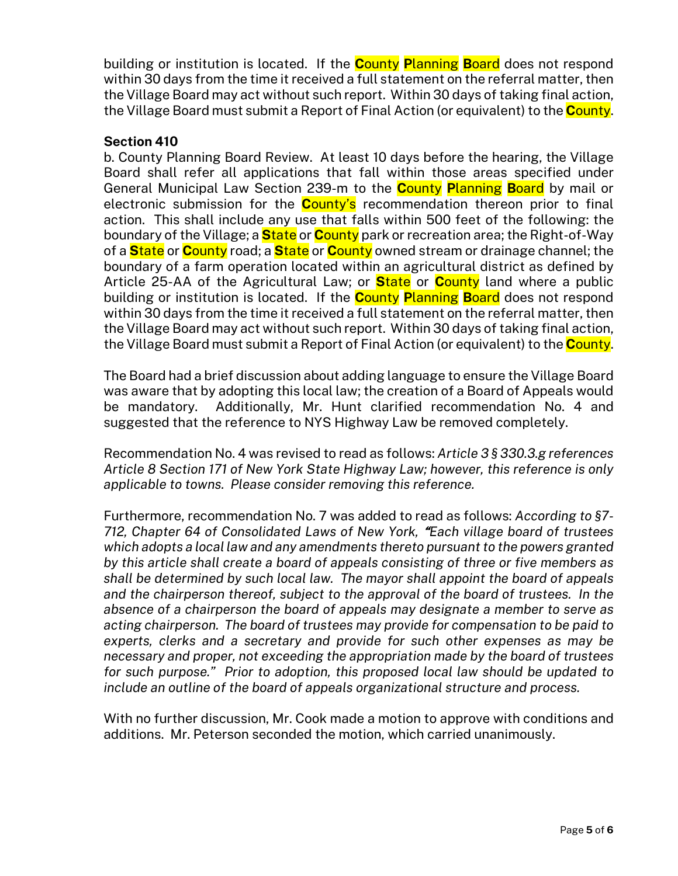building or institution is located. If the **C**ounty **P**lanning **B**oard does not respond within 30 days from the time it received a full statement on the referral matter, then the Village Board may act without such report. Within 30 days of taking final action, the Village Board must submit a Report of Final Action (or equivalent) to the **C**ounty.

### **Section 410**

b. County Planning Board Review. At least 10 days before the hearing, the Village Board shall refer all applications that fall within those areas specified under General Municipal Law Section 239-m to the **C**ounty **P**lanning **B**oard by mail or electronic submission for the **C**ounty's recommendation thereon prior to final action. This shall include any use that falls within 500 feet of the following: the boundary of the Village; a **S**tate or **C**ounty park or recreation area; the Right-of-Way of a **S**tate or **C**ounty road; a **S**tate or **C**ounty owned stream or drainage channel; the boundary of a farm operation located within an agricultural district as defined by Article 25-AA of the Agricultural Law; or **S**tate or **C**ounty land where a public building or institution is located. If the **C**ounty **P**lanning **B**oard does not respond within 30 days from the time it received a full statement on the referral matter, then the Village Board may act without such report. Within 30 days of taking final action, the Village Board must submit a Report of Final Action (or equivalent) to the **C**ounty.

The Board had a brief discussion about adding language to ensure the Village Board was aware that by adopting this local law; the creation of a Board of Appeals would be mandatory. Additionally, Mr. Hunt clarified recommendation No. 4 and suggested that the reference to NYS Highway Law be removed completely.

Recommendation No. 4 was revised to read as follows: *Article 3 § 330.3.g references Article 8 Section 171 of New York State Highway Law; however, this reference is only applicable to towns. Please consider removing this reference.*

Furthermore, recommendation No. 7 was added to read as follows: *According to §7- 712, Chapter 64 of Consolidated Laws of New York,* "*Each village board of trustees which adopts a local law and any amendments thereto pursuant to the powers granted by this article shall create a board of appeals consisting of three or five members as shall be determined by such local law. The mayor shall appoint the board of appeals and the chairperson thereof, subject to the approval of the board of trustees. In the absence of a chairperson the board of appeals may designate a member to serve as acting chairperson. The board of trustees may provide for compensation to be paid to experts, clerks and a secretary and provide for such other expenses as may be necessary and proper, not exceeding the appropriation made by the board of trustees for such purpose." Prior to adoption, this proposed local law should be updated to include an outline of the board of appeals organizational structure and process.*

With no further discussion, Mr. Cook made a motion to approve with conditions and additions. Mr. Peterson seconded the motion, which carried unanimously.